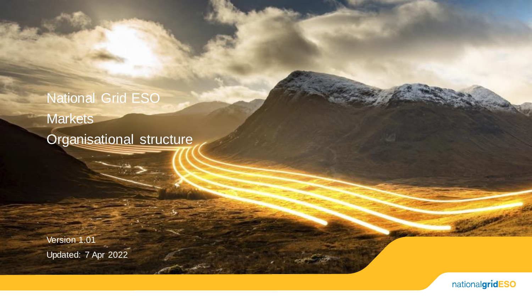# National Grid ESO **Markets**

Organisational structure

Version 1.01 Updated: 7 Apr 2022

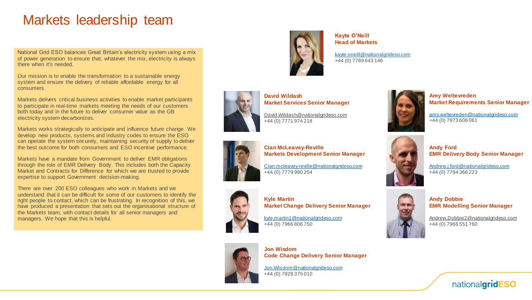### Markets leadership team

National Grid ESO balances Great Britain's electricity system using a mix of power generation to ensure that, whatever the mix, electricity is always there when it's needed.

Our mission is to enable the transformation to a sustainable energy system and ensure the delivery of reliable affordable energy for all consumers.

Markets delivers critical business activities to enable market participants to participate in real-time markets meeting the needs of our customers both today and in the future to deliver consumer value as the GB electricity system decarbonizes.

Markets works strategically to anticipate and influence future change. We develop new products, systems and industry codes to ensure the ESO can operate the system securely, maintaining security of supply to deliver the best outcome for both consumers and ESO incentive performance.

Markets have a mandate from Government to deliver EMR obligations through the role of EMR Delivery Body. This includes both the Capacity Market and Contracts for Difference for which we are trusted to provide expertise to support Government decision-making.

There are over 200 ESO colleagues who work in Markets and we understand that it can be difficult for some of our customers to identify the right people to contact, which can be frustrating. In recognition of this, we have produced a presentation that sets out the organisational structure of the Markets team, with contact details for all senior managers and managers. We hope that this is helpful.



**Kayte O'Neill Head of Markets**

[kayte.oneill@nationalgrideso.com](mailto:kayte.oneill@nationalgrideso.com) +44 (0) 7769 643 146



**David Wildash Market Services Senior Manager**

[David.Wildash@nationalgrideso.com](mailto:David.Wildash@nationalgrideso.com) +44 (0) 7771 974 218



**Cian McLeavey-Reville Markets Development Senior Manager**

[Cian.mcleavey-reville@nationalgrideso.com](mailto:Cian.mcleavey-reville@nationalgrideso.com) +44 (0) 7779 980 254



**Kyle Martin Market Change Delivery Senior Manager**

[kyle.martin1@nationalgrideso.com](mailto:kyle.martin1@nationalgrideso.com) +44 (0) 7966 806 750



**Jon Wisdom Code Change Delivery Senior Manager**

[Jon.Wisdom@nationalgrideso.com](mailto:Jon.Wisdom@nationalgrideso.com) +44 (0) 7929 375 010



**Amy Weltevreden Market Requirements Senior Manager**

[amy.weltevreden@nationalgrideso.com](mailto:amy.weltevreden@nationalgrideso.com) +44 (0) 7973 606 061



**Andy Ford EMR Delivery Body Senior Manager**

[Andrew.j.ford@nationalgrideso.com](mailto:Andrew.j.ford@nationalgrideso.com) +44 (0) 7794 366 223



**Andy Dobbie EMR Modelling Senior Manager**

[Andrew.Dobbie2@nationalgrideso.com](mailto:Andrew.Dobbie2@nationalgrideso.com) +44 (0) 7966 551 760

nationalgridESO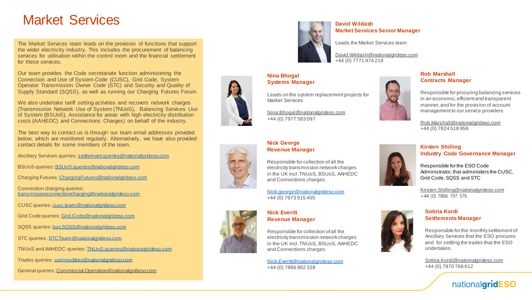### Market Services

The Market Services team leads on the provision of functions that support the wider electricity industry. This includes the procurement of balancing services for utilisation within the control room and the financial settlement for these services.

Our team provides the Code secretariate function administering the Connection and Use of System Code (CUSC), Grid Code, System Operator Transmission Owner Code (STC) and Security and Quality of Supply Standard (SQSS), as well as running our Charging Futures Forum.

We also undertake tariff setting activities and recovers network charges (Transmission Network Use of System (TNUoS), Balancing Services Use of System (BSUoS), Assistance for areas with high electricity distribution costs (AAHEDC) and Connections Charges) on behalf of the industry.

The best way to contact us is through our team email addresses provided below, which are monitored regularly. Alternatively, we have also provided contact details for some members of the team.

Ancillary Services queries: [settlement.queries@nationalgrideso.com](mailto:settlement.queries@nationalgrideso.com)

BSUoS queries: [BSUoS.queries@nationalgrideso.com](mailto:BSUoS.queries@nationalgrideso.com)

Charging Futures: [ChargingFutures@nationalgrideso.com](mailto:ChargingFutures@nationalgrideso.com)

Connection charging queries: [transmissionconnectioncharging@nationalgrideso.com](mailto:transmissionconnectioncharging@nationalgrideso.com)

CUSC queries: [cusc.team@nationalgrideso.com](mailto:cusc.team@nationalgrideso.com)

Grid Code queries: [Grid.Code@nationalgrideso.com](mailto:Grid.Code@nationalgrideso.com)

SQSS queries: [box.SQSS@nationalgrideso.com](mailto:box.SQSS@nationalgrideso.com)

STC queries: [STCTeam@nationalgrideso.com](mailto:STCTeam@nationalgrideso.com)

TNUoS and AAHEDC queries: [TNUoS.queries@nationalgrideso.com](mailto:TNUoS.queries@nationalgrideso.com)

Trades queries: [commodities@nationalgrideso.com](mailto:commodities@nationalgrideso.com)

General queries: [Commercial.Operation@nationalgrideso.com](mailto:Commercial.Operation@nationalgrideso.com)



#### **David Wildash Market Services Senior Manager**

Leads the Market Services team

[David.Wildash@nationalgrideso.com](mailto:David.Wildash@nationalgrideso.com) +44 (0) 7771 974 218

**Nina Bhogal Systems Manager**

Leads on the system replacement projects for Market Services

[Nina.Bhogal@nationalgrideso.com](mailto:nina.bhogal@nationalgrideso.com) +44 (0) 7977 583 097



### **Rob Marshall Contracts Manager**

Responsible for procuring balancing services in an economic, efficient and transparent manner, and for the provision of account management to our service providers

[Rob.Marshall@nationalgrideso.com](mailto:Rob.Marshall@nationalgrideso.com) +44 (0) 7824 518 958

![](_page_2_Picture_27.jpeg)

#### **Nick George Revenue Manager**

Responsible for collection of all the electricity transmission network charges in the UK incl. TNUoS, BSUoS, AAHEDC and Connections charges.

[Nick.george@nationalgrideso.com](mailto:Nick.george@nationalgrideso.com) +44 (0) 7973 915 455

![](_page_2_Picture_31.jpeg)

**Nick Everitt Revenue Manager**

Responsible for collection of all the electricity transmission network charges in the UK incl. TNUoS, BSUoS, AAHEDC and Connections charges.

[Nick.Everitt@nationalgrideso.com](mailto:Nick.Everitt@nationalgrideso.com) +44 (0) 7866 982 328

![](_page_2_Picture_35.jpeg)

### **Kirsten Shilling Industry Code Governance Manager**

Responsible for the ESO Code Administrator, that administers the CUSC, Grid Code, SQSS and STC

[Kirsten.Shilling@nationalgrideso.com](mailto:Kirsten.Shilling@nationalgrideso.com) +44 (0) 7866 197 576

![](_page_2_Picture_39.jpeg)

Responsible for the monthly settlement of Ancillary Services that the ESO procures and for settling the trades that the ESO undertakes.

[Sotiria.Kordi@nationalgrideso.com](mailto:Sotiria.Kordi@nationalgrideso.com) +44 (0) 7970 766 612

![](_page_2_Picture_42.jpeg)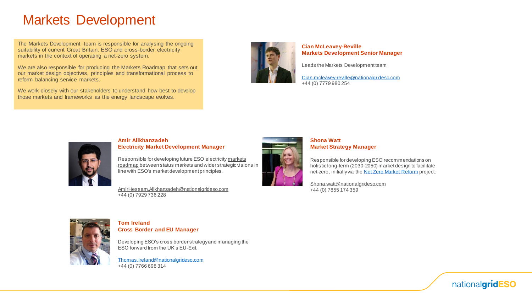### Markets Development

The Markets Development team is responsible for analysing the ongoing suitability of current Great Britain, ESO and cross-border electricity markets in the context of operating a net-zero system.

We are also responsible for producing the Markets Roadmap that sets out our market design objectives, principles and transformational process to reform balancing service markets.

We work closely with our stakeholders to understand how best to develop those markets and frameworks as the energy landscape evolves.

![](_page_3_Picture_4.jpeg)

**Cian McLeavey-Reville Markets Development Senior Manager**

Leads the Markets Development team

[Cian.mcleavey-reville@nationalgrideso.com](mailto:Cian.mcleavey-reville@nationalgrideso.com) +44 (0) 7779 980 254

![](_page_3_Picture_8.jpeg)

#### **Amir Alikhanzadeh Electricity Market Development Manager**

Responsible for developing future ESO electricity markets roadmap [between status markets and wider strategic visio](https://www.nationalgrideso.com/research-publications/markets-forum-roadmap-2025)ns in line with ESO's market development principles.

[AmirHessam.Alikhanzadeh@nationalgrideso.com](mailto:AmirHessam.Alikhanzadeh@nationalgrideso.com) +44 (0) 7929 736 228

![](_page_3_Picture_12.jpeg)

### **Shona Watt Market Strategy Manager**

Responsible for developing ESO recommendations on holistic long-term (2030-2050) market design to facilitate net-zero, initially via the [Net Zero Market Reform](https://www.nationalgrideso.com/future-energy/projects/net-zero-market-reform) project.

[Shona.watt@nationalgrideso.com](mailto:Shona.watt@nationalgrideso.com) +44 (0) 7855 174 359

![](_page_3_Picture_16.jpeg)

### **Tom Ireland Cross Border and EU Manager**

Developing ESO's cross border strategy and managing the ESO forward from the UK's EU-Exit.

[Thomas.Ireland@nationalgrideso.com](mailto:Thomas.Ireland@nationalgrideso.com) +44 (0) 7766 698 314

![](_page_3_Picture_20.jpeg)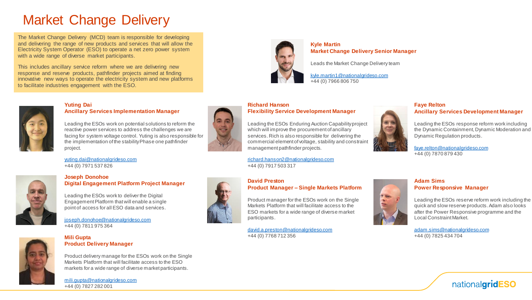## Market Change Delivery

The Market Change Delivery (MCD) team is responsible for developing and delivering the range of new products and services that will allow the Electricity System Operator (ESO) to operate a net zero power system with a wide range of diverse market participants.

This includes ancillary service reform where we are delivering new response and reserve products, pathfinder projects aimed at finding innovative new ways to operate the electricity system and new platforms to facilitate industries engagement with the ESO.

![](_page_4_Picture_3.jpeg)

**Kyle Martin Market Change Delivery Senior Manager**

Leads the Market Change Delivery team

[kyle.martin1@nationalgrideso.com](mailto:kyle.martin1@nationalgrideso.com) +44 (0) 7966 806 750

### **Yuting Dai Ancillary Services Implementation Manager**

Leading the ESOs work on potential solutions to reform the reactive power services to address the challenges we are facing for system voltage control. Yuting is also responsible for the implementation of the stability Phase one pathfinder project.

[yuting.dai@nationalgrideso.com](mailto:yuting.dai@nationalgrideso.com) +44 (0) 7971 537 826

![](_page_4_Picture_11.jpeg)

### **Joseph Donohoe Digital Engagement Platform Project Manager**

Leading the ESOs work to deliver the Digital Engagement Platform that will enable a single point of access for all ESO data and services.

[joseph.donohoe@nationalgrideso.com](mailto:joseph.donohoe@nationalgrideso.com) +44 (0) 7811 975 364

![](_page_4_Picture_15.jpeg)

#### **Mili Gupta Product Delivery Manager**

Product delivery manage for the ESOs work on the Single Markets Platform that will facilitate access to the ESO markets for a wide range of diverse market participants.

[mili.gupta@nationalgrideso.com](mailto:mili.gupta@nationalgrideso.com) +44 (0) 7827 282 001

![](_page_4_Picture_19.jpeg)

### **Richard Hanson Flexibility Service Development Manager**

Leading the ESOs Enduring Auction Capability project which will improve the procurement of ancillary services. Rich is also responsible for delivering the commercial element of voltage, stability and constraint management pathfinder projects.

[richard.hanson2@nationalgrideso.com](mailto:richard.hanson2@nationalgrideso.com) +44 (0) 7917 503 317

![](_page_4_Picture_23.jpeg)

### **David Preston Product Manager – Single Markets Platform**

Product manager for the ESOs work on the Single Markets Platform that will facilitate access to the ESO markets for a wide range of diverse market participants.

[david.a.preston@nationalgrideso.com](mailto:david.a.preston@nationalgrideso.com) +44 (0) 7768 712 356

![](_page_4_Picture_27.jpeg)

### **Faye Relton Ancillary Services Development Manager**

Leading the ESOs response reform work including the Dynamic Containment, Dynamic Moderation and Dynamic Regulation products.

[faye.relton@nationalgrideso.com](mailto:faye.relton@nationalgrideso.com) +44 (0) 7870 879 430

![](_page_4_Picture_31.jpeg)

Leading the ESOs reserve reform work including the quick and slow reserve products. Adam also looks after the Power Responsive programme and the Local Constraint Market.

[adam.sims@nationalgrideso.com](mailto:adam.sims@nationalgrideso.com) +44 (0) 7825 434 704

![](_page_4_Picture_34.jpeg)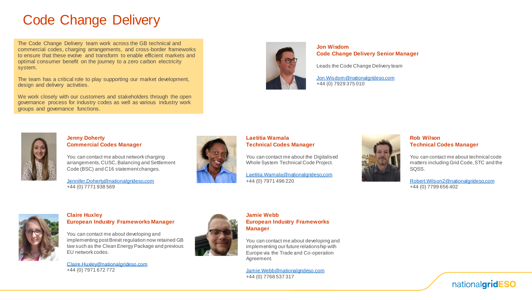### Code Change Delivery

The Code Change Delivery team work across the GB technical and commercial codes, charging arrangements, and cross-border frameworks to ensure that these evolve and transform to enable efficient markets and optimal consumer benefit on the journey to a zero carbon electricity system.

The team has a critical role to play supporting our market development, design and delivery activities.

We work closely with our customers and stakeholders through the open governance process for industry codes as well as various industry work groups and governance functions.

![](_page_5_Picture_4.jpeg)

**Jon Wisdom Code Change Delivery Senior Manager**

Leads the Code Change Delivery team

[Jon.Wisdom@nationalgrideso.com](mailto:Jon.Wisdom@nationalgrideso.com) +44 (0) 7929 375 010

![](_page_5_Picture_8.jpeg)

### **Jenny Doherty Commercial Codes Manager**

You can contact me about network charging arrangements, CUSC, Balancing and Settlement Code (BSC) and C16 statement changes.

[Jennifer.Doherty@nationalgrideso,com](mailto:Jennifer.Doherty@nationalgrideso,com) +44 (0) 7771 938 569

![](_page_5_Picture_12.jpeg)

### **Laetitia Wamala Technical Codes Manager**

You can contact me about the Digitalised Whole System Technical Code Project.

[Laetitia.Wamala@nationalgrideso,com](mailto:Laetitia.Wamala@nationalgrideso,com) +44 (0) 7971 496 220

![](_page_5_Picture_16.jpeg)

### **Rob Wilson Technical Codes Manager**

You can contact me about technical code matters including Grid Code, STC and the SQSS.

[Robert.Wilson2@nationalgrideso,com](mailto:Robert.Wilson2@nationalgrideso,com) +44 (0) 7799 656 402

![](_page_5_Picture_20.jpeg)

#### **Claire Huxley European Industry Frameworks Manager**

You can contact me about developing and implementing post Brexit regulation now retained GB law such as the Clean Energy Package and previous EU network codes.

[Claire.Huxley@nationalgrideso.com](mailto:Claire.Huxley@nationalgrideso.com) +44 (0) 7971 672 772

![](_page_5_Picture_24.jpeg)

### **Jamie Webb European Industry Frameworks Manager**

You can contact me about developing and implementing our future relationship with Europe via the Trade and Co-operation Agreement.

[Jamie.Webb@nationalgrideso.com](mailto:Jamie.Webb@nationalgrideso.com) +44 (0) 7768 537 317

![](_page_5_Picture_28.jpeg)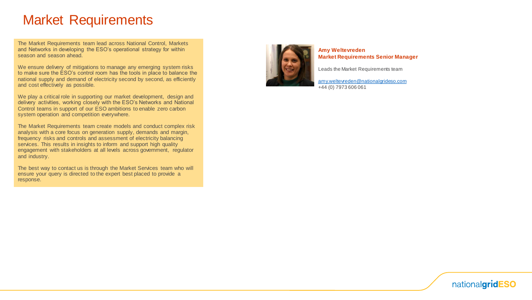### Market Requirements

The Market Requirements team lead across National Control, Markets and Networks in developing the ESO's operational strategy for within season and season ahead.

We ensure delivery of mitigations to manage any emerging system risks to make sure the ESO's control room has the tools in place to balance the national supply and demand of electricity second by second, as efficiently and cost effectively as possible.

We play a critical role in supporting our market development, design and delivery activities, working closely with the ESO's Networks and National Control teams in support of our ESO ambitions to enable zero carbon system operation and competition everywhere.

The Market Requirements team create models and conduct complex risk analysis with a core focus on generation supply, demands and margin, frequency risks and controls and assessment of electricity balancing services. This results in insights to inform and support high quality engagement with stakeholders at all levels across government, regulator and industry.

The best way to contact us is through the Market Services team who will ensure your query is directed to the expert best placed to provide a response.

![](_page_6_Picture_6.jpeg)

**Amy Weltevreden Market Requirements Senior Manager**

Leads the Market Requirements team

[amy.weltevreden@nationalgrideso.com](mailto:amy.weltevreden@nationalgrideso.com) +44 (0) 7973 606 061

![](_page_6_Picture_10.jpeg)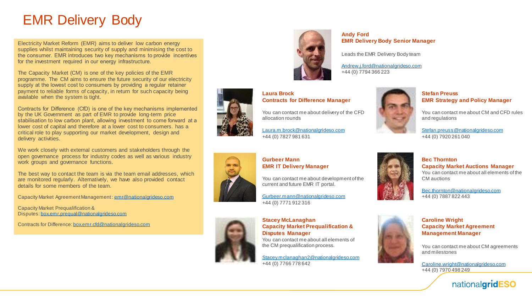### EMR Delivery Body

Electricity Market Reform (EMR) aims to deliver low carbon energy supplies whilst maintaining security of supply and minimising the cost to the consumer. EMR introduces two key mechanisms to provide incentives for the investment required in our energy infrastructure.

The Capacity Market (CM) is one of the key policies of the EMR programme. The CM aims to ensure the future security of our electricity supply at the lowest cost to consumers by providing a regular retainer payment to reliable forms of capacity, in return for such capacity being available when the system is tight.

Contracts for Difference (CfD) is one of the key mechanisms implemented by the UK Government as part of EMR to provide long-term price stabilisation to low carbon plant, allowing investment to come forward at a lower cost of capital and therefore at a lower cost to consumers. has a critical role to play supporting our market development, design and delivery activities.

We work closely with external customers and stakeholders through the open governance process for industry codes as well as various industry work groups and governance functions.

The best way to contact the team is via the team email addresses, which are monitored regularly. Alternatively, we have also provided contact details for some members of the team.

Capacity Market Agreement Management : [emr@nationalgrideso.com](mailto:emr@nationalgrideso.com)

Capacity Market Prequalification & Disputes: [box.emr.prequal@nationalgrideso.com](mailto:box.emr.prequal@nationalgrideso.com)

Contracts for Difference: [box.emr.cfd@nationalgrideso.com](mailto:box.emr.cfd@nationalgrideso.com)

![](_page_7_Picture_9.jpeg)

**Contracts for Difference Manager**

[Laura.m.brock@nationalgrideso.com](mailto:Laura.m.brock@nationalgrideso.com)

### **Andy Ford EMR Delivery Body Senior Manager**

Leads the EMR Delivery Body team

[Andrew.j.ford@nationalgrideso.com](mailto:Andrew.j.ford@nationalgrideso.com) +44 (0) 7794 366 223

![](_page_7_Picture_13.jpeg)

### **Stefan Preuss EMR Strategy and Policy Manager**

You can contact me about CM and CFD rules and regulations

[Stefan.preuss@nationalgrideso.com](mailto:Stefan.preuss@nationalgrideso.com) +44 (0) 7920 261 040

**Capacity Market Auctions Manager** You can contact me about all elements of the

**Bec Thornton**

CM auctions

+44 (0) 7887 822 443

![](_page_7_Picture_17.jpeg)

### **Gurbeer Mann EMR IT Delivery Manager**

**Laura Brock**

allocation rounds

+44 (0) 7827 981 631

You can contact me about development of the current and future EMR IT portal.

[Gurbeer.mann@nationalgrideso.com](mailto:Gurbeer.mann@nationalgrideso.com) +44 (0) 7771 912 316

![](_page_7_Picture_21.jpeg)

### **Stacey McLanaghan Capacity Market Prequalification & Disputes Manager**

You can contact me about all elements of the CM prequalification process.

[Stacey.mclanaghan2@nationalgrideso.com](mailto:Stacey.mclanaghan2@nationalgrideso.com) +44 (0) 7766 778 642

![](_page_7_Picture_25.jpeg)

### **Caroline Wright Capacity Market Agreement Management Manager**

[Bec.thornton@nationalgrideso.com](mailto:Bec.thornton@nationalgrideso.com)

You can contact me about CM agreements and milestones

[Caroline.wright@nationalgrideso.com](mailto:Caroline.wright@nationalgrideso.com) +44 (0) 7970 498 249

![](_page_7_Picture_29.jpeg)

You can contact me about delivery of the CFD